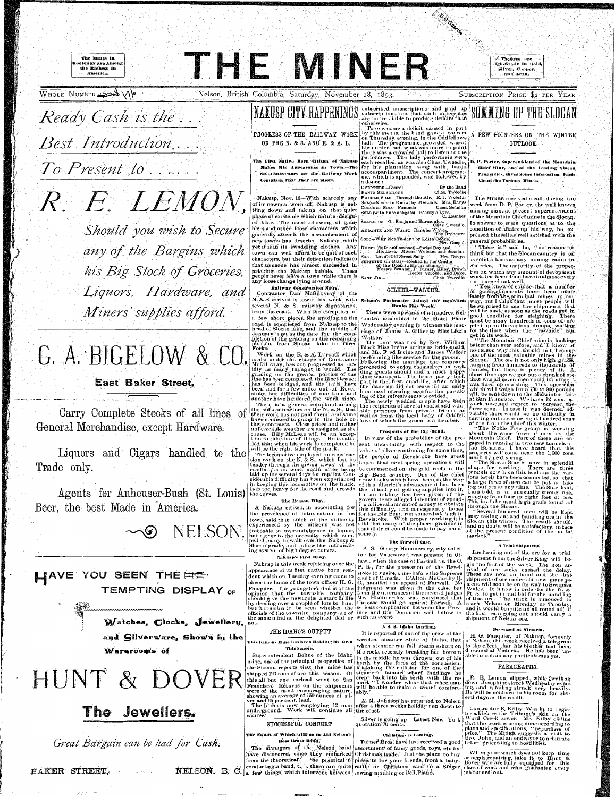The Mines in Kootenay are Among the Kicliest in America.

**/ ThcOrcs a r e**  .igh-Grade in Gold, , silver, Copper, and Lead.

Ready Cash is the ... Best Introduction... *3To Present to*  R. E. LEMON.

PROGRESS OF THE RAILWAY WORK *OS* THE N. & S. AND E. & A. L.

THE MINER

The First Native Born Citizen of Nakusp Makes His Appearance in Town.—The Sub-Contractors on the Railway Work 4'omplain That They are Short.

Nakusp, Nov. 16-With scarcely any of its newness worn off, Nakusp is settling down and taking on that quiet phase of existence which nature designed it for. The usual following of gamblers and other loose characters which generally attends the accouchement of new towns has deserted Nakusp while yet it is in its swaddling clothes. Any town can, well afford to be quit of such characters, but their deflection indicates that someone has almost succeeded in pricking the Nakusp bubble. These people never leave a town while there is any loose change lying around.

Garry Complete Stocks of all lines of General Merchandise, except Hardware.

 $Liquors and Cigars handled to the$ Trade only.

Agents for Anheuser-Bush (St. Louis) Beer, the best Made in America.

**LIAVE YOU SEEN THE EXE-TEMPTING DISPLAY OF** 

and **Silverware**, Shown in the

NELSON. B. C.

NELSON.

**Warerooms** of

HUNT & DOVER

The Jewellers.

*l\* 

WHOLE NUMBER 1928 \/\\ Nelson, British Columbia, Saturday, November 18, 1893. SUBSCRIPTION PRICE \$2 PER YEAR.

*Should you wish to Secure any qf^ the Bar gins which his Big Stock of Groceries, Liquors, Hardware, and Miners 'supplies^afford.* 

G. A. BIGELOW  $\&$ 

East Baker Street.

Kailway Construction News.\*. Contractor Dan McGillivray of the N. & S. arrived in town this week with several N. & S. railway dignataries, from the coast. With the exception of a fam showt pieces, the grading of the  $\alpha$  iew short pieces, one grading on the road is completed from Nakusp to the<br>head of Slocan lake, and the middle of January is set as the date for the completion of the grading on the remaining portion, from Slocan lake to Three Forks.

Work on the R. & A. L. road, which is also under the charge of Contractor McGillivray, has not progressed as rapidly as many thought it would. The grading on the greater portion of the line has been completed, the Illecillewaet has been bridged, and the "rails have been laid for a few miles out of Revelstoke, but difficulties of one kind and another have hindered, the work since.

There is a general complaint among the recipients of several useful and valu-<br>the sub-contractors on the N. & S., that able presents, from private, friends as their work has not paid them, and some well as from the local body of Oddfelhave confessed to going in the hole on have contessed to going in the hole on lows of which the groom is a member.<br>their contracts. Close prices and rather  $\frac{1}{1-\frac{1}{1-\frac{1}{1-\frac{1}{1-\frac{1}{1-\frac{1}{1-\frac{1}{1-\frac{1}{1-\frac{1}{1-\frac{1}{1-\frac{1}{1-\frac{1}{1-\frac{1}{1-\frac{1}{1-\frac{1}{1-\frac{1}{1-\frac{1}{1-\$ unfavorable weather are assigned as the cause. Billy McLean will be an exception to this state of things. He is satis- $\frac{1}{2}$  fied that when his work is completed he sent uncertainty with respect to the will be the right side of the mark. The locomotive employed on construction work on the N.  $\&$  S., which lost its tender through the giving away of the roadbed, is at work again after being laid, up for several-days-for repairs. Considerable difficulty has been experienced iu keeping this locomotive on the track. It is too heavy for the road and crowds the curves. able presents from private friends as **The Reason Why.**  $\begin{bmatrix} \text{goverm} \\ \text{hbar} \\ \text{hbar} \end{bmatrix}$  **and**  $\begin{bmatrix} \text{hbar} \\ \text{hbar} \\ \text{hbar} \end{bmatrix}$  **and**  $\begin{bmatrix} \text{hbar} \\ \text{hbar} \end{bmatrix}$  **and**  $\begin{bmatrix} \text{hbar} \\ \text{hbar} \end{bmatrix}$  **and**  $\begin{bmatrix} \text{hbar} \\ \text{hbar} \end{bmatrix}$  **and**  $\begin{bmatrix} \text{hbar} \\ \text{hbar} \end{bmatrix}$ A Nakusp citizen, in accounting for the prevelence of intoxication in his town, said that much of the difficulty experienced by the citizens was not Prospects of the Big Bend. value of silver continuing for some time, value of sitver conditions to come time, the people of Revelsioke have great hopes that next spring operations will be commenced on the gold reefs in the Big Bend country. One of the chief draw backs which have been in the way of this district's advancement has been the difficulty of getting supplies into it, but an inkling has been given of the this a liberal amount of money to obviate for all culture and consequently appes ror the Dig bend run somewhat dign in<br>Dovalstoke. With proper working it is reconsumer what proper working it is and that the many of the patter graduation.

subscribed subscriptions and paid up subscriptions, and that such differences subscriptions, and that such differences **DUMMINI OF THE SLOGAN** otherwise .

To overcome a deficit caused in part by this means, the band gave a concert **A FEW POINTERS ON THE WINTER** on Thursday evening, in the Oddfellows hall. The programme provided was of high order, but what was more to point there was a crowded hall to listen to the performers. The lady performers were each recalled, as was also Chas. Tweedie,  $\vert$  D. P. Porter, Superentdent of the Mountain  $\vert$ for his plantation song with banjo' accompaniment. The concert programme, which is appended, was followed by a dance :  $\frac{1}{2}$  ,  $\frac{1}{2}$  ,  $\frac{1}{2}$  ,  $\frac{1}{2}$  and  $\frac{1}{2}$  and  $\frac{1}{2}$  and  $\frac{1}{2}$  and  $\frac{1}{2}$  and  $\frac{1}{2}$  and  $\frac{1}{2}$  and  $\frac{1}{2}$  and  $\frac{1}{2}$  and  $\frac{1}{2}$  and  $\frac{1}{2}$  and  $\frac{1}{2}$  and  $\frac{1}{2$ 

OVERTURE—Laurel By the Band<br>BANJO SELECTIONS Chas. Tweedie BANJO SELECTIONS PICCOLO SOLO—Through the Air. E. J. Webster

SOLO—Never to Know, by Marzials. Mrs. Davys<br>CORONET SOLO—Fantasia Chas. Scanlan CORONET SOLO-Fantasia Chas. Scanlan SOLO (with flute'obiigato)—Beauty's Eyes,

C. Hamber SELECTION—On Banjo and Harmonica.<br>Chas. Tweedie.  $\frac{0}{100}$  The  $\frac{0}{100}$   $\frac{0}{100}$  The  $\frac{0}{100}$ 

The Only which have Who Or Cooke.

SOLO—Why Not Torday *%* by Edith- Cooked •  $\mathbf y$  and  $\mathbf y$  and  $\mathbf y$  $\Gamma$  and  $\Gamma$  and  $\Gamma$  and  $\Gamma$  and  $\Gamma$  and  $\Gamma$  and  $\Gamma$  and  $\Gamma$  and  $\Gamma$  and  $\Gamma$  and  $\Gamma$  and  $\Gamma$  and  $\Gamma$  and  $\Gamma$  and  $\Gamma$  and  $\Gamma$  and  $\Gamma$  and  $\Gamma$  and  $\Gamma$  and  $\Gamma$  and  $\Gamma$  and  $\Gamma$  and  $\Gamma$  and  $\Gamma$  and  $\Gamma$  Solo-Love's Old Sweet Song. Mrs. Davys. SEPTETTE (in Bass)—Rocked in the Cradle

of the Deep; (with: variations.<br>
Messrs. Scanlan, P. Turner, Kilby, Brown<br>
Reefer, Sproule, and Dake.

Chas. Tweedie. SAND JIGA <del>JIGA LAND JIGA LAN</del>D JIGA LAND

There were upwards of a hundred Nelsonites assembled in the Hotel Phair Wednesday evening to witness the marriage of James A. Gilker to Miss Lizzie Walker.

The knot was tied by Rev. William Black Miss Irvine acting as bridesmaid, and Mr. Fred Irvine and James Walker performing like service for the groom. Following the marriage the company proceeded to enjoy, themselves as. wedding guests should and a most happy time was spent. The bridal party took part in the first quadrille, after which the dancing did not cease till an early hour next morning save for the partaking of the refreshments provided.

There is a general complaint among

traceable to over-indulgence in liquor, but.rathe r to th e necessity which compelled many to walk over the Nakusp &  $S$ locan grade, and follow the intoxicating system of high degree curves.

#### Nakusp's First Baby.

Nakusp is this week rejoicing over the appearance of its first native born resiappearance or no more name were not chee r the home of the suary evening came to cheer the home of the town officer H. G. Fauquier. The youngster's dad is of the opinion that the townsite company opinion that the cownsite company snouid give the newcomer a start in me by deeding over a couple of lots to him, officials of the townsite company are of  $\frac{1}{2}$  the same mind as the delighted dad or not.

OUTLOOK

Chief Mine, one of the Leading Slocan Properties, Gives Some Interesting Facts About the Various Mines.

The MINER received a call during the week from D. P. Porter, the well known mining man, at present superentendent of the Mountain Chief mine in the Slocan. In answer to some questions as to the condition of affairs up his way, he expressed himself as well satisfied with the general' probabilities.

"There is," said he, "no reason to think but that the Slocan cauntry is on as solid a basis as any mining camp in America. The majority of the properties on which any amount of devopment work, has been done have in almost every case turned out well.

"You know of course that a number of goods shipments have been made lately from the principal mines up our way. but. I thlnkTthat most people, will be surprised to see the shipments that will be made as soon as the roads get in<br>good condition for sleighing. There good condition for sleighing. must be many hundreds of tons of ore .piled-.up on the various dumps, waiting, for the time when the "rawhide" can. get in its work.

The newly wedded couple have been at San Francisco. We have  $12$  men at The newly wedded couple have been  $\frac{1}{2}$ The Mountain Chief mine is lookingbetter than ever before, and I know of no reason why this .should not. become one of the most valuable mines in the-Slocan. The ore is not only high grade, ranging from hundreds to thousands' of ounces, but there is plenty of it. A short time ago we got out a chunk of orethat was all seven men could lift after it. was fixed up in a sling. This specimen which will weigh from  $700$  to  $900$  pounds. will be sent down to the Midwinter fairwork now, and expect to increase, theforce soon. *In* case it was deemed' advisable there would be no difficulty in

### GILKER-WALKEB.

#### Nelson's Postmaster Joined the Benedicts Ranks This Week.

turning out seven or eight hundred tons of-ore from the Chief this wiuter.

**In view of the probability of the pre-** about the same force of men as the probability of the pre- Mountain Chief. Part of these are en-"The Noble Five group is working Mountain Chief. Part of these are engaged in running in two new tunnels on the Bonanza. I have heard that this property will come near the 1,000 tons mark by next spring.

"The Slocan Star is now in splendid shape for working. There are three tunnels now in on this lead and the various levels have been connected, so that a large force of men can be put at ing out ore at any time. The Star I am told, is an unusually strong ranging from four to eight feet of ranging from four to eight feet of ore.<br>This is of the usual high grade found all through the Slocan. taklead, one, all

"Several hundred men will be kept busy taking out and handling ore in the Slocan this winter. The result should, and no doubt will'be satisfactory, in face of the present condition of the metal market.

Francisco. Returns on the shipments will be able to make a wharf comfortably. "

H. G. Fauquier, of Nakusp, formerly of Nelson, this week received, a telegram to the effect that his brother had been drowned at Victoria. He has been unable to obtain any particulars as yet.

R. E. Lemon slipped, while gwalking down Josephine street Wednesday evening, and in falling struck very heavily. He will be confined to his room for several days as the result.

Contractor E. Kilby Was in to register a kick re the Tribune's skit on the Ward Creek sewer. Mr. Kilby claims that the work is being done according to  $_{\rm i}$  plans and specifications, " regardless  $_{\rm 0f}$ price." The MiNER suggests a visit to Bro. John, and an endeavor to arbitrate  $\frac{1}{2}$  before proceeding to hostilities.

When your watch does not keep time or needs repairing, take it to Hunt  $\&$ Dover who are fully equipped for this class of work and who guitrantee every job turned' out.

underground. Work will continue all  $|$  the coast. winter.'

#### THE IDAHO'S OUTPUT

*Great Bdrgdin can be had for Cask.* 

أأراد والمتواطن والمحافظ

PAKER STREET,

 $\mathscr{L}\mathcal{W}^{\mathrm{an}}$  and  $\mathcal{W}^{\mathrm{an}}$ 

This Famous Mine lias been Holding its Own This'Season.

Superentendent Behne of the Idaho  $the **S**locan, reports that the mine has$ shipped 120 tons of ore this season. Of  $t$ his all but one carload went to San  $x_0$  and  $y_0$ ,  $y_1$  and  $y_2$  and  $y_3$  and  $y_4$  and  $y_5$  and  $y_6$  and  $y_7$  and  $y_8$  and  $y_9$  and  $y_9$  and  $y_9$  and  $y_9$  and  $y_9$  and  $y_9$  and  $y_9$  and  $y_9$  and  $y_9$  and  $y_9$  and  $y_9$  and  $y_9$  and  $y_9$ showing an average of  $150$  ounces of silver and 65 per cent. lead.

somely.

#### A Trial Shipment.

The hauling out of the ore for a trial shipment from the Silver King will begin the first of the week. The non arrival, of ore sacks caused the delay.  $T$ hese are now on hand and the first shipment of ore under the new management will soon be on it's way to Swanse  $Ft. S.$  to get in and hid for the handling of this ore. The track is annouced to reach Nelson on Monday or Tuesday, and it would be quite an all round  $\alpha$ <sup>l</sup> if the first train going out should carry a shipment of Nelson ore.

#### PAEAGEAPHS.

#### SUCCESSFUL C0N0EET

Tlie F'urids *of* Which\* wilt Ro to Aid Nelson's BOSH ttrass Bandl

#### The Farwell Case.

A. St. George Hammersley, city solicitor for Vancouver, was present in Ottawa when the case of Farwell vs. the C. P. R., for- the possession of the Revelstoke to the possession of the Terverstoke townsite, came before the Supreme<br>said: as Canada . . D'Altra McCarthur Q. C , the C Canada. D'Alton Incoartny Q.<br>Claimediad the appeal of Farmell. No  $\mathbf{u}_i$  named the appear of *parwen*. No from the utterance of the care index. Mr. Hauimersle y was convinced that the case would go against Farwell. A serious complication between this Province and the Dominion will follow in such an event. U., handled the appeal of Farwell. No ment will soon be on its way to Swansea judgment was given in the case, but Wales. It is now in order for the N. &-

#### A S. S. Idaho Landing.

mine, one of the principal properties of  $\frac{13}{\text{heat}}$  by the force of the concussion. It is reported of one of the crew of the wrecked steamer State of Idaho, that when steamer ran full steam ashore on the rocks recently breaking her bottom in the middle he was thrown out of his berth by the rotte of the concussion. mistanting the common for one of the  $\alpha$  back into his berth with the remark "I wonder when that wheelman

A. M. Johnson has returned to Nelson<br>after a three weeks holiday run down to The Idaho is now employing  $12$  men after a three weeks holiday run down to

> Silver is going up. qiiotation'70 cents. Latest New York

#### Christmas is Coming.

The managers of the Nelson' band assortment of fancy goods, toys, etc for Turner Bros, have just received a good

have discovered, since they embarked Christmas trade. Just the place to buy from the theoretical  $/$  – the practical in presents for your friends, from a babyconducting a band,  $t_{\lambda}$  , there are quite rattle or Christmas card to a Singer a few things which intervene between sewing maching or Bell Piano.

•\*'. |

#### Drowned at Victoria.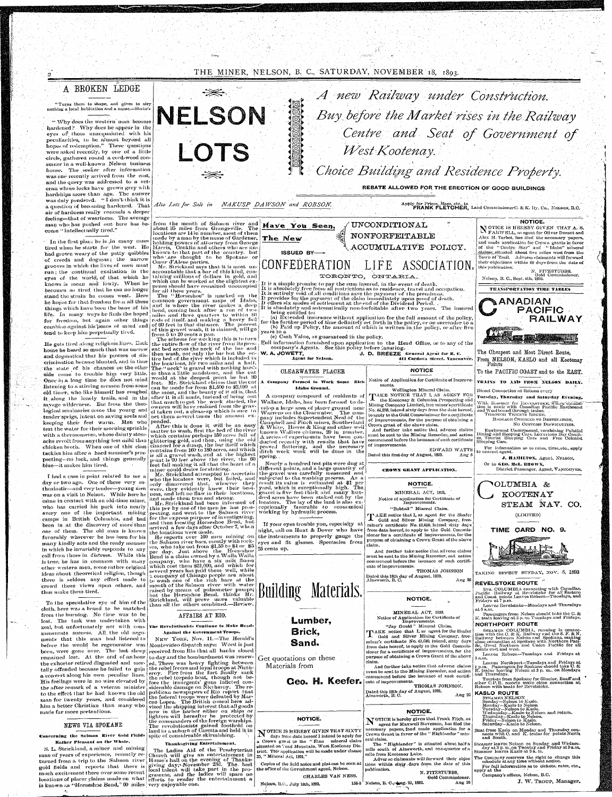THE MINER, NELSON, B. C., SATURDAY, NOVEMBER 18, 1893.

## A BROKEN LEDGE

"Turns them to shape, and gives to airy nothing a local habitation and a name.—Shake's

"Why does the western man become hardened? Why does he appear in the eyes of those unacquainted with his peculiarities, to be almost beyond all hopes of redemption." These questions were asked recently, by one of a little circle, gathered round a cord-wood consumer in a well-known Nelson business house. The seeker after information was one recently arrived from the east, and the query was addressed to a veteran whose locks have grown grey with hardships more than age. The auswer was duly pondered. "I don't think it is a question of becoming hardened. That air of hardness really conceals a deeper feeling-that of weariness. The average man who has pushed out here has become "intellectually tired."

In the first place he is in many cases tired when he starts for the west. He had grown weary of the petty quibbles of creeds and dogmas; the narrow grooves in which the lives of men must run; the continual exaltation in the eyes of the world, of that which he knows is mean and lowly. When he becomes so tired that he can no longer stand the strain he comes west. Here he hopes for that freedom from all these things which have been the bane of his life. In many ways he finds the hoped for freedom, but again other things rods of itself and making a heavy fall combine against his peace of mind and of 60 feet in that distance. The poorest tend to keep him perpetually tired.

He gets tired along religious lines. Dack home he heard so much that was narrow and dogmatical that his powers of discrimination became blunted, and in time the state of his chances on the other The neck" is gravel with nothing hard-<br>side come to trouble him very little, er than a little sandstone, and the cut Once in a long time he does not mind would at the deepest point be but 30 listening to a stirring sermon from some ean be made for from \$1,500 to \$2,000 at old timer, who like himself has roughed the most, and the beauty of it all is, that it along the lonely trails, and in the after it is all made, instead of being out tender sprigs, intent on saving souls and net them severel times the amount exkeeping their feet warm. Men who pended. test the water for their morning sprinkle with a thermometer, whose dainty stom- which contains perhaps 150 acres full of achs revolt from anything less mild than | glittering gold, and then, using the old chicken broth. When one of this class channel for a dump, the bar itself which tackles him after a hard summer's prospecting-no luck, and things generally point is 90 feet above the river, the 60 blue-it makes him tired.



from the mouth of Salmon river and about 35 miles from Grangeville. The locations are 14 in number, most of them made by a man by the name of Gardener, The New holding powers of attorney from George<br>Harris, Conklin and others who are unknown to that part of the country. but who are thought to be Spokane or Cœur d'Alene parties.<br>Mr. Strickand says that it is most unaccountable that a bar of this kind, containing millions of dollars in gold, and which can be worked at the slightest expense should have remained unoccupied for all these years. The "Horseshoe" is marked on the common government maps of Idaho, and is where the river makes a deep bend, coming back after a run of two miles and three quarters to within 80 from 5 to 20 cents a pan. The scheme for working this is to turn

the entire flow of the river from its present bed across the neck of the bar and then wash, not only the bar but the en- W. A. JOWETT, tire bed of the river which is included in the locations, for two miles and a half.

A new Railway under Construction. Buy before the Market rises in the Railway Centre and Seat of Government of West Kootenay.

Choice Building and Residence Property.

REBATE ALLOWED FOR THE ERECTION OF GOOD BUILDINGS

Apply for Prices, Maps, etc., to<br>FRANK FLETCHER, Land CommissionerC. & K. Ry. Co., NELSON, B.C.

Also Lots for Sale in NAKUSP DAWSON and ROBSON.



cate of improvements.

mile from Kootenay Lake.

158-8 Nelson, B. C., 4ug. 23, 1893.

eral claim.

publication.

Dated this 18th day of August, 1893,<br>Ainsworth, B. C.

NOTICE. NOTICE is hereby given that Frank Fitch, as

necessary papers, (and made application for a

Crown Grant in favor of the "Highlander" min-

agent for Maxwell Stevenson, has filed the

THOMAS JOHNSON.

N. FITZSTUBBS,

Gold Commissioner.

Aug  $26$ 

I had a case in point related to me a day or two ago. One of these very enthusiastic-and very tender-young men was on a visit to Nelson. While here he uess, and left no flaw in their locations, came in contact with an old-time miner. who has carried his pack into nearly every one of the important mining pecting, and went to the Salmon river camps in British Columbia, and had for the express purpose of investigating. been in at the discovery of more than and then locating Horseshoe Bend, but one of them. The old man is known the locations were made. favorably wherever he has been for his many kindly acts and the ready manner the Salmon river bars, mostly with rockin which he invariably responds to any call from those in distress. While this is true, he has in common with many company, who have a six mile flume other western men, some rather original ideas about theoretical religion, though there is seldom any effort made to  $\int_{0}^{\infty}$  wash one of the rich bars at the crowd these views upon others, and mouth of the Salmon river with water thus make them tired.

cloth, here was a brand to be snatched from the burning. No time was to be lost. The task was undertaken with zeal, but unfortunately not with com- The Revolutionists Continue to Make Headmensurate success. All the old argumade far more pretentions.

#### NEWS VIA SPOKANE

Concerning the Salmon River Gold Fields spite of considerable skirmishing. **Rather Pleasant on the Whole.** 

S. L. Strickland, a miner and mining than of years of experience, recently re- Church will give an entertainment in<br>turned from a trip to the Salmon river Hume's hall on the evening of Thanksgold fields and reports that there is giving day, November 23d. The best much excitement there over some recent coal talent will take part in the promuch excitement there over some recent gramme, and the ladies will spare no locations of placer claims made on what efforts to render the entertainment a is known as "Horseshoe Bend," 60 miles very enjoyable one.

After this is done it will be an easy matter to wash, first the bed of the river is all a gravel wash, and at the highest

feet fall making it all that the heart of a miner could desire for shuicing. Mr. Strickland attempted to ascertain

who the locators were, but failed, and were, they evidently knew their busiand made them true and strong.

Mr. Strickland had been informed of this per by one of the men he has prosarrived a few days after October 7, when

He reports over 100 men mining on ers, who take out from \$1,50 to \$4 or \$5 per day. Just above the Horseshoe<br>Bend is a claim owned by a Walla Walla several years has paid them well, while 2 company of Chicago people are about raised by means of pulsometer pumps; but the Horseshoe Bend, thinks Mr.

To the speculative eye of him of the Strickland, will prove more valuable than all the others combined.—Review.

#### AFFAIRS AT RIO.

# Against the Government Troops.

ments that this man had listened to NEW YORK, Nov. 11. - The Herald's before the would be regenerator was Montevideo dispatch says: Word is just born, were gone over. The lost sheep received from Rio that all banks closed remained lost. At the end of an hour to-day and the bombardment was renewthe exhorter retired disgusted and mor- ed. There was heavy fighting between tally offended because he failed to gain the rebel forces and loyal troops at Nictha convert along his own peculiar lines. eroy. Fire from the fort finally sank the rebel torpedo boat, though not be-His feelings were in no wise elevated by fore the insurgents' guns inficted con-<br>the after remark of a veteran minister siderable damage on Nictheroy. The reto the effect that he had known the old publican newspapers of Rio report that to the enect that he had known the old the federal troops were defeated by Mar-<br>man for twenty years, and considered the federal troops were defeated by Marhim a better Christian than many who vised the shipping interest that all goods now in the harbor either on ships or lighters will hereafter be protected by the commanders of the foreign warships. The revolutionists gained foothold on land in a suburb of Caretta and held it in

#### Thanksgiving Eatertainment.

The Ladies Aid of the Presbyterian



Geo. H. Keefer.

NOTICE.

NTOTICE IS HEREBY GIVEN THAT SIXTY days from date hereof I intend to apply for a Crown grant to the "Etna mineral claim situated on Toad Mountain, West Kootenay District. This application will be made under clause 35, "Mitteral Act, 1891."

Coples of the field notes and plat can be seen at the office of the Goverhment agent, Nelson. CHARLES VAN NESS.

بمستقدم وزرر

Tourists from Spokane for Glacier, Banff and other C.P.R. resorts make close connection at Robson with boats for Revelstoke.

**KASLO ROUTE** Aug 26  $\vert$ 

- STEAMER NELSON
- 
- 
- STEAMER NELSON<br>Sunday—Nelson to Kaslo.<br>Monday—Nelson to Kelson<br>Tuesday—Nelson to Kaslo.<br>Wednesday—Kaslo to Nelson and return.<br>Thursday—Kaslo to Nelson.<br>Friday—Nelson to Kaslo.<br>Saturday—Kaslo to Nelson.
- 
- 
- 
- Boat from Kaslo on Monday and Thursday connects with C. and K. trains for points North and South.

Steamer leaves Nelson on Sunday and Wednes-<br>day at 3 p.m.,on Tuesday and Friday at 9 a.m.<br>Steamer leaves Kaslo at 9 a.m. The "Highlander" is situated about half a mile south of Ainsworth, and one-quarter of a

Adverse claimants will forward their objec The Company reserves the right to change this schedule at any time without notice. tions within sixty days from the date of this

For full information as to tickets, rates, etc., apply at the

Company's offices, Nelson, B.C.

J. W. TROUP, Manager.